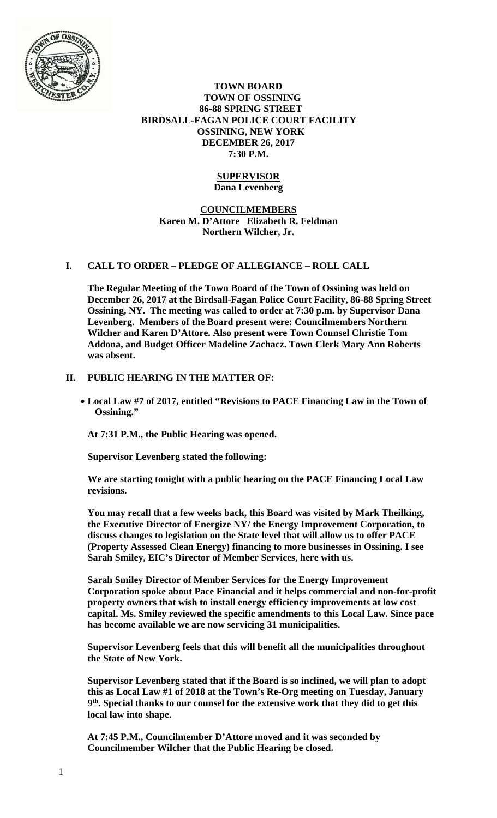

#### **TOWN BOARD TOWN OF OSSINING 86-88 SPRING STREET BIRDSALL-FAGAN POLICE COURT FACILITY OSSINING, NEW YORK DECEMBER 26, 2017 7:30 P.M.**

### **SUPERVISOR Dana Levenberg**

# **COUNCILMEMBERS Karen M. D'Attore Elizabeth R. Feldman Northern Wilcher, Jr.**

# **I. CALL TO ORDER – PLEDGE OF ALLEGIANCE – ROLL CALL**

**The Regular Meeting of the Town Board of the Town of Ossining was held on December 26, 2017 at the Birdsall-Fagan Police Court Facility, 86-88 Spring Street Ossining, NY. The meeting was called to order at 7:30 p.m. by Supervisor Dana Levenberg. Members of the Board present were: Councilmembers Northern Wilcher and Karen D'Attore. Also present were Town Counsel Christie Tom Addona, and Budget Officer Madeline Zachacz. Town Clerk Mary Ann Roberts was absent.** 

### **II. PUBLIC HEARING IN THE MATTER OF:**

 **Local Law #7 of 2017, entitled "Revisions to PACE Financing Law in the Town of Ossining."** 

**At 7:31 P.M., the Public Hearing was opened.** 

**Supervisor Levenberg stated the following:** 

**We are starting tonight with a public hearing on the PACE Financing Local Law revisions.** 

**You may recall that a few weeks back, this Board was visited by Mark Theilking, the Executive Director of Energize NY/ the Energy Improvement Corporation, to discuss changes to legislation on the State level that will allow us to offer PACE (Property Assessed Clean Energy) financing to more businesses in Ossining. I see Sarah Smiley, EIC's Director of Member Services, here with us.** 

**Sarah Smiley Director of Member Services for the Energy Improvement Corporation spoke about Pace Financial and it helps commercial and non-for-profit property owners that wish to install energy efficiency improvements at low cost capital. Ms. Smiley reviewed the specific amendments to this Local Law. Since pace has become available we are now servicing 31 municipalities.** 

**Supervisor Levenberg feels that this will benefit all the municipalities throughout the State of New York.** 

**Supervisor Levenberg stated that if the Board is so inclined, we will plan to adopt this as Local Law #1 of 2018 at the Town's Re-Org meeting on Tuesday, January 9th. Special thanks to our counsel for the extensive work that they did to get this local law into shape.** 

**At 7:45 P.M., Councilmember D'Attore moved and it was seconded by Councilmember Wilcher that the Public Hearing be closed.**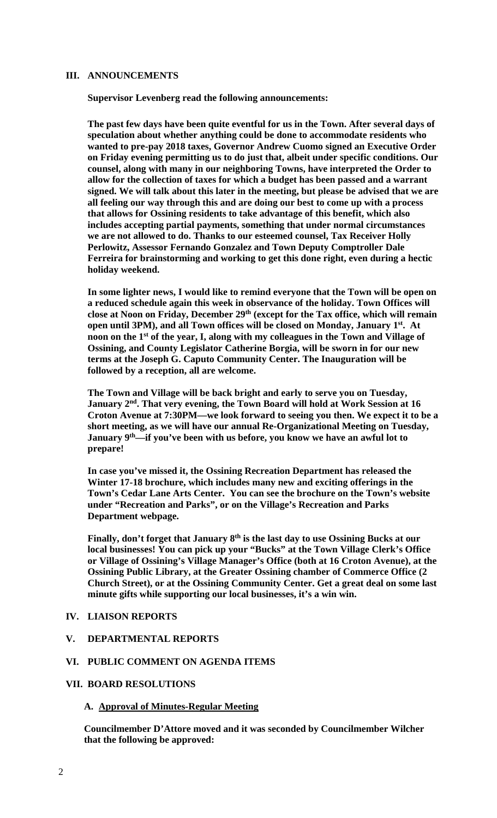# **III. ANNOUNCEMENTS**

**Supervisor Levenberg read the following announcements:** 

**The past few days have been quite eventful for us in the Town. After several days of speculation about whether anything could be done to accommodate residents who wanted to pre-pay 2018 taxes, Governor Andrew Cuomo signed an Executive Order on Friday evening permitting us to do just that, albeit under specific conditions. Our counsel, along with many in our neighboring Towns, have interpreted the Order to allow for the collection of taxes for which a budget has been passed and a warrant signed. We will talk about this later in the meeting, but please be advised that we are all feeling our way through this and are doing our best to come up with a process that allows for Ossining residents to take advantage of this benefit, which also includes accepting partial payments, something that under normal circumstances we are not allowed to do. Thanks to our esteemed counsel, Tax Receiver Holly Perlowitz, Assessor Fernando Gonzalez and Town Deputy Comptroller Dale Ferreira for brainstorming and working to get this done right, even during a hectic holiday weekend.** 

**In some lighter news, I would like to remind everyone that the Town will be open on a reduced schedule again this week in observance of the holiday. Town Offices will close at Noon on Friday, December 29th (except for the Tax office, which will remain open until 3PM), and all Town offices will be closed on Monday, January 1st. At noon on the 1st of the year, I, along with my colleagues in the Town and Village of Ossining, and County Legislator Catherine Borgia, will be sworn in for our new terms at the Joseph G. Caputo Community Center. The Inauguration will be followed by a reception, all are welcome.** 

**The Town and Village will be back bright and early to serve you on Tuesday, January 2nd. That very evening, the Town Board will hold at Work Session at 16 Croton Avenue at 7:30PM—we look forward to seeing you then. We expect it to be a short meeting, as we will have our annual Re-Organizational Meeting on Tuesday, January 9th—if you've been with us before, you know we have an awful lot to prepare!** 

**In case you've missed it, the Ossining Recreation Department has released the Winter 17-18 brochure, which includes many new and exciting offerings in the Town's Cedar Lane Arts Center. You can see the brochure on the Town's website under "Recreation and Parks", or on the Village's Recreation and Parks Department webpage.** 

Finally, don't forget that January 8<sup>th</sup> is the last day to use Ossining Bucks at our **local businesses! You can pick up your "Bucks" at the Town Village Clerk's Office or Village of Ossining's Village Manager's Office (both at 16 Croton Avenue), at the Ossining Public Library, at the Greater Ossining chamber of Commerce Office (2 Church Street), or at the Ossining Community Center. Get a great deal on some last minute gifts while supporting our local businesses, it's a win win.** 

#### **IV. LIAISON REPORTS**

#### **V. DEPARTMENTAL REPORTS**

### **VI. PUBLIC COMMENT ON AGENDA ITEMS**

#### **VII. BOARD RESOLUTIONS**

#### **A. Approval of Minutes-Regular Meeting**

**Councilmember D'Attore moved and it was seconded by Councilmember Wilcher that the following be approved:**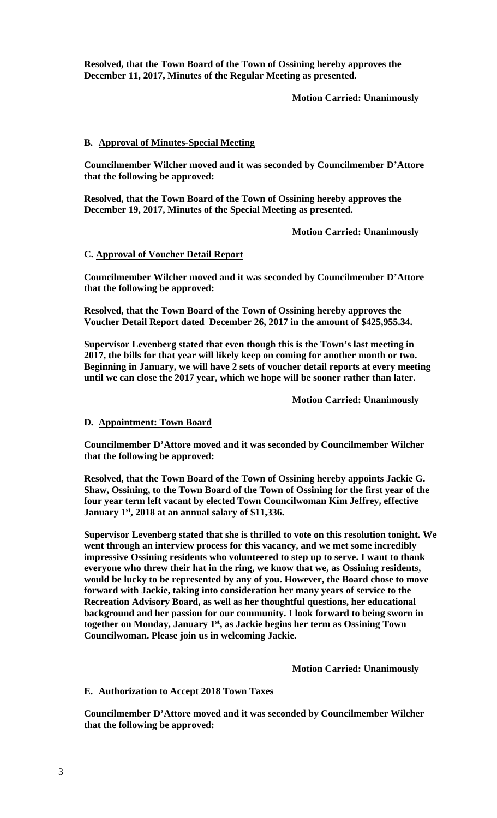**Resolved, that the Town Board of the Town of Ossining hereby approves the December 11, 2017, Minutes of the Regular Meeting as presented.** 

 **Motion Carried: Unanimously** 

#### **B. Approval of Minutes-Special Meeting**

**Councilmember Wilcher moved and it was seconded by Councilmember D'Attore that the following be approved:** 

**Resolved, that the Town Board of the Town of Ossining hereby approves the December 19, 2017, Minutes of the Special Meeting as presented.** 

 **Motion Carried: Unanimously** 

#### **C. Approval of Voucher Detail Report**

**Councilmember Wilcher moved and it was seconded by Councilmember D'Attore that the following be approved:** 

**Resolved, that the Town Board of the Town of Ossining hereby approves the Voucher Detail Report dated December 26, 2017 in the amount of \$425,955.34.** 

**Supervisor Levenberg stated that even though this is the Town's last meeting in 2017, the bills for that year will likely keep on coming for another month or two. Beginning in January, we will have 2 sets of voucher detail reports at every meeting until we can close the 2017 year, which we hope will be sooner rather than later.** 

 **Motion Carried: Unanimously** 

#### **D. Appointment: Town Board**

**Councilmember D'Attore moved and it was seconded by Councilmember Wilcher that the following be approved:** 

**Resolved, that the Town Board of the Town of Ossining hereby appoints Jackie G. Shaw, Ossining, to the Town Board of the Town of Ossining for the first year of the four year term left vacant by elected Town Councilwoman Kim Jeffrey, effective January 1st, 2018 at an annual salary of \$11,336.** 

**Supervisor Levenberg stated that she is thrilled to vote on this resolution tonight. We went through an interview process for this vacancy, and we met some incredibly impressive Ossining residents who volunteered to step up to serve. I want to thank everyone who threw their hat in the ring, we know that we, as Ossining residents, would be lucky to be represented by any of you. However, the Board chose to move forward with Jackie, taking into consideration her many years of service to the Recreation Advisory Board, as well as her thoughtful questions, her educational background and her passion for our community. I look forward to being sworn in together on Monday, January 1st, as Jackie begins her term as Ossining Town Councilwoman. Please join us in welcoming Jackie.** 

 **Motion Carried: Unanimously** 

#### **E. Authorization to Accept 2018 Town Taxes**

**Councilmember D'Attore moved and it was seconded by Councilmember Wilcher that the following be approved:**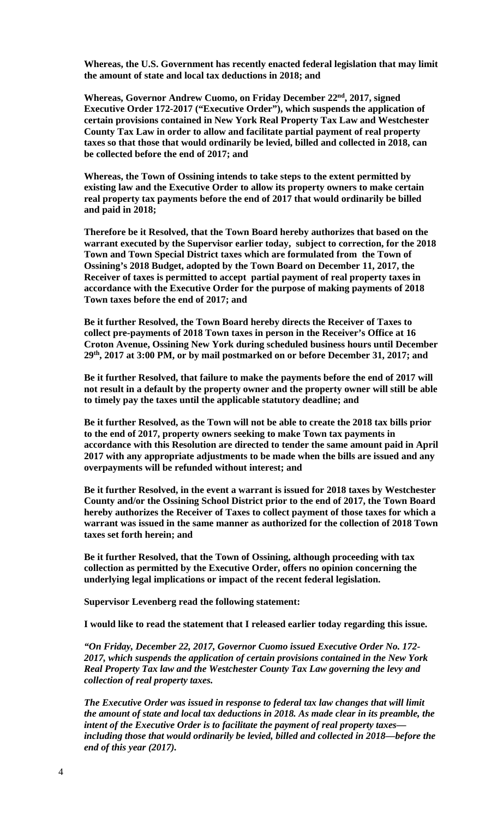**Whereas, the U.S. Government has recently enacted federal legislation that may limit the amount of state and local tax deductions in 2018; and** 

**Whereas, Governor Andrew Cuomo, on Friday December 22nd, 2017, signed Executive Order 172-2017 ("Executive Order"), which suspends the application of certain provisions contained in New York Real Property Tax Law and Westchester County Tax Law in order to allow and facilitate partial payment of real property taxes so that those that would ordinarily be levied, billed and collected in 2018, can be collected before the end of 2017; and** 

**Whereas, the Town of Ossining intends to take steps to the extent permitted by existing law and the Executive Order to allow its property owners to make certain real property tax payments before the end of 2017 that would ordinarily be billed and paid in 2018;** 

**Therefore be it Resolved, that the Town Board hereby authorizes that based on the warrant executed by the Supervisor earlier today, subject to correction, for the 2018 Town and Town Special District taxes which are formulated from the Town of Ossining's 2018 Budget, adopted by the Town Board on December 11, 2017, the Receiver of taxes is permitted to accept partial payment of real property taxes in accordance with the Executive Order for the purpose of making payments of 2018 Town taxes before the end of 2017; and** 

**Be it further Resolved, the Town Board hereby directs the Receiver of Taxes to collect pre-payments of 2018 Town taxes in person in the Receiver's Office at 16 Croton Avenue, Ossining New York during scheduled business hours until December 29th, 2017 at 3:00 PM, or by mail postmarked on or before December 31, 2017; and** 

**Be it further Resolved, that failure to make the payments before the end of 2017 will not result in a default by the property owner and the property owner will still be able to timely pay the taxes until the applicable statutory deadline; and** 

**Be it further Resolved, as the Town will not be able to create the 2018 tax bills prior to the end of 2017, property owners seeking to make Town tax payments in accordance with this Resolution are directed to tender the same amount paid in April 2017 with any appropriate adjustments to be made when the bills are issued and any overpayments will be refunded without interest; and** 

**Be it further Resolved, in the event a warrant is issued for 2018 taxes by Westchester County and/or the Ossining School District prior to the end of 2017, the Town Board hereby authorizes the Receiver of Taxes to collect payment of those taxes for which a warrant was issued in the same manner as authorized for the collection of 2018 Town taxes set forth herein; and** 

**Be it further Resolved, that the Town of Ossining, although proceeding with tax collection as permitted by the Executive Order, offers no opinion concerning the underlying legal implications or impact of the recent federal legislation.** 

**Supervisor Levenberg read the following statement:** 

**I would like to read the statement that I released earlier today regarding this issue.** 

*"On Friday, December 22, 2017, Governor Cuomo issued Executive Order No. 172- 2017, which suspends the application of certain provisions contained in the New York Real Property Tax law and the Westchester County Tax Law governing the levy and collection of real property taxes.* 

*The Executive Order was issued in response to federal tax law changes that will limit the amount of state and local tax deductions in 2018. As made clear in its preamble, the intent of the Executive Order is to facilitate the payment of real property taxes including those that would ordinarily be levied, billed and collected in 2018—before the end of this year (2017).*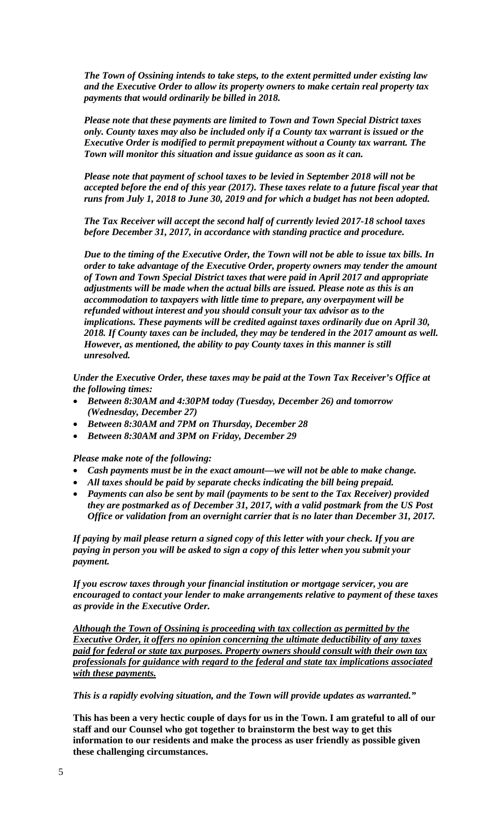*The Town of Ossining intends to take steps, to the extent permitted under existing law and the Executive Order to allow its property owners to make certain real property tax payments that would ordinarily be billed in 2018.* 

*Please note that these payments are limited to Town and Town Special District taxes only. County taxes may also be included only if a County tax warrant is issued or the Executive Order is modified to permit prepayment without a County tax warrant. The Town will monitor this situation and issue guidance as soon as it can.* 

*Please note that payment of school taxes to be levied in September 2018 will not be accepted before the end of this year (2017). These taxes relate to a future fiscal year that runs from July 1, 2018 to June 30, 2019 and for which a budget has not been adopted.* 

*The Tax Receiver will accept the second half of currently levied 2017-18 school taxes before December 31, 2017, in accordance with standing practice and procedure.* 

*Due to the timing of the Executive Order, the Town will not be able to issue tax bills. In order to take advantage of the Executive Order, property owners may tender the amount of Town and Town Special District taxes that were paid in April 2017 and appropriate adjustments will be made when the actual bills are issued. Please note as this is an accommodation to taxpayers with little time to prepare, any overpayment will be refunded without interest and you should consult your tax advisor as to the implications. These payments will be credited against taxes ordinarily due on April 30, 2018. If County taxes can be included, they may be tendered in the 2017 amount as well. However, as mentioned, the ability to pay County taxes in this manner is still unresolved.* 

*Under the Executive Order, these taxes may be paid at the Town Tax Receiver's Office at the following times:* 

- *Between 8:30AM and 4:30PM today (Tuesday, December 26) and tomorrow (Wednesday, December 27)*
- *Between 8:30AM and 7PM on Thursday, December 28*
- *Between 8:30AM and 3PM on Friday, December 29*

*Please make note of the following:* 

- *Cash payments must be in the exact amount—we will not be able to make change.*
- *All taxes should be paid by separate checks indicating the bill being prepaid.*
- *Payments can also be sent by mail (payments to be sent to the Tax Receiver) provided they are postmarked as of December 31, 2017, with a valid postmark from the US Post Office or validation from an overnight carrier that is no later than December 31, 2017.*

*If paying by mail please return a signed copy of this letter with your check. If you are paying in person you will be asked to sign a copy of this letter when you submit your payment.* 

*If you escrow taxes through your financial institution or mortgage servicer, you are encouraged to contact your lender to make arrangements relative to payment of these taxes as provide in the Executive Order.* 

*Although the Town of Ossining is proceeding with tax collection as permitted by the Executive Order, it offers no opinion concerning the ultimate deductibility of any taxes paid for federal or state tax purposes. Property owners should consult with their own tax professionals for guidance with regard to the federal and state tax implications associated with these payments.* 

### *This is a rapidly evolving situation, and the Town will provide updates as warranted."*

**This has been a very hectic couple of days for us in the Town. I am grateful to all of our staff and our Counsel who got together to brainstorm the best way to get this information to our residents and make the process as user friendly as possible given these challenging circumstances.**